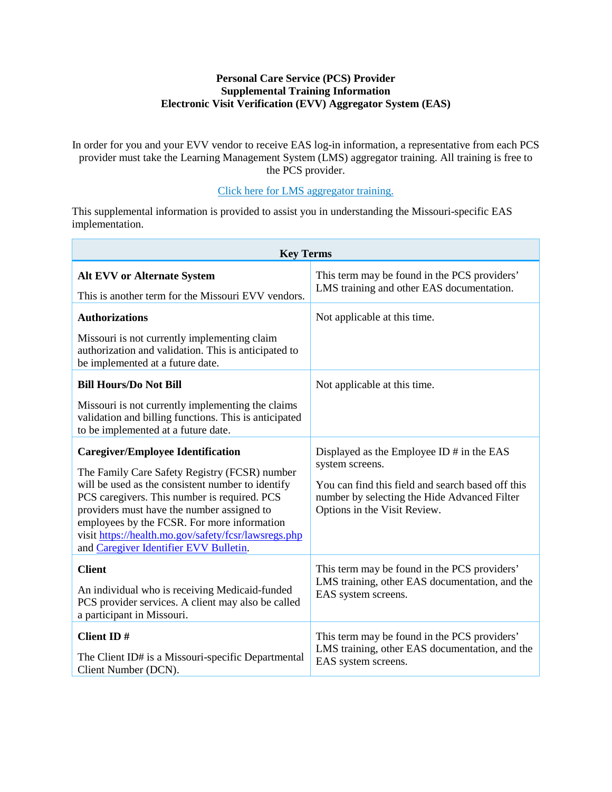## **Personal Care Service (PCS) Provider Supplemental Training Information Electronic Visit Verification (EVV) Aggregator System (EAS)**

In order for you and your EVV vendor to receive EAS log-in information, a representative from each PCS provider must take the Learning Management System (LMS) aggregator training. All training is free to the PCS provider.

## [Click here for LMS aggregator training.](https://www.sandatalearn.com/?KeyName=MOEASaltevv)

This supplemental information is provided to assist you in understanding the Missouri-specific EAS implementation.

| <b>Key Terms</b>                                                                                                                                                                                                                                                                                                                                                                              |                                                                                                                                                                                                   |
|-----------------------------------------------------------------------------------------------------------------------------------------------------------------------------------------------------------------------------------------------------------------------------------------------------------------------------------------------------------------------------------------------|---------------------------------------------------------------------------------------------------------------------------------------------------------------------------------------------------|
| <b>Alt EVV or Alternate System</b><br>This is another term for the Missouri EVV vendors.                                                                                                                                                                                                                                                                                                      | This term may be found in the PCS providers'<br>LMS training and other EAS documentation.                                                                                                         |
| <b>Authorizations</b>                                                                                                                                                                                                                                                                                                                                                                         | Not applicable at this time.                                                                                                                                                                      |
| Missouri is not currently implementing claim<br>authorization and validation. This is anticipated to<br>be implemented at a future date.                                                                                                                                                                                                                                                      |                                                                                                                                                                                                   |
| <b>Bill Hours/Do Not Bill</b>                                                                                                                                                                                                                                                                                                                                                                 | Not applicable at this time.                                                                                                                                                                      |
| Missouri is not currently implementing the claims<br>validation and billing functions. This is anticipated<br>to be implemented at a future date.                                                                                                                                                                                                                                             |                                                                                                                                                                                                   |
| <b>Caregiver/Employee Identification</b><br>The Family Care Safety Registry (FCSR) number<br>will be used as the consistent number to identify<br>PCS caregivers. This number is required. PCS<br>providers must have the number assigned to<br>employees by the FCSR. For more information<br>visit https://health.mo.gov/safety/fcsr/lawsregs.php<br>and Caregiver Identifier EVV Bulletin. | Displayed as the Employee ID # in the EAS<br>system screens.<br>You can find this field and search based off this<br>number by selecting the Hide Advanced Filter<br>Options in the Visit Review. |
| <b>Client</b><br>An individual who is receiving Medicaid-funded<br>PCS provider services. A client may also be called<br>a participant in Missouri.                                                                                                                                                                                                                                           | This term may be found in the PCS providers'<br>LMS training, other EAS documentation, and the<br>EAS system screens.                                                                             |
| <b>Client ID#</b><br>The Client ID# is a Missouri-specific Departmental<br>Client Number (DCN).                                                                                                                                                                                                                                                                                               | This term may be found in the PCS providers'<br>LMS training, other EAS documentation, and the<br>EAS system screens.                                                                             |